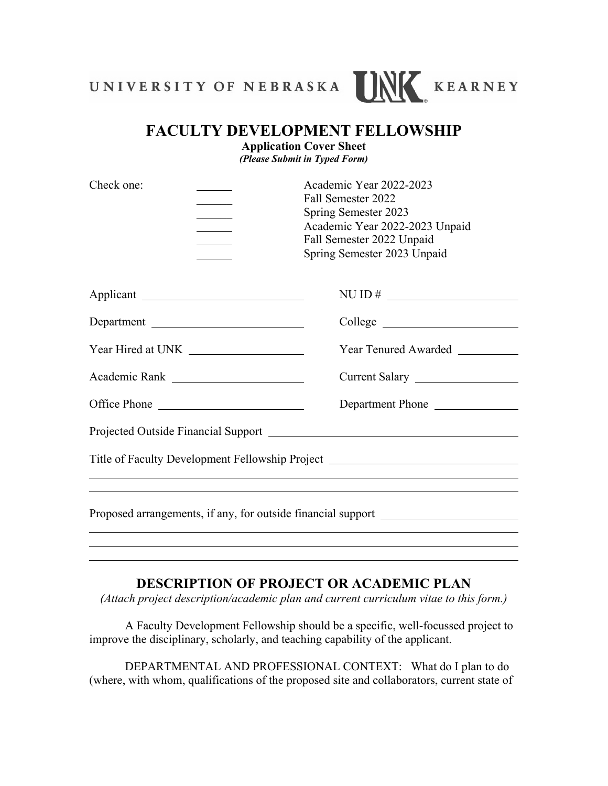

## **FACULTY DEVELOPMENT FELLOWSHIP**

**Application Cover Sheet**

| (Please Submit in Typed Form) |  |  |
|-------------------------------|--|--|
|                               |  |  |

| Check one: | Academic Year 2022-2023<br>Fall Semester 2022<br>Spring Semester 2023<br>Academic Year 2022-2023 Unpaid<br>Fall Semester 2022 Unpaid<br>Spring Semester 2023 Unpaid |
|------------|---------------------------------------------------------------------------------------------------------------------------------------------------------------------|
|            | NU ID # $\qquad \qquad$                                                                                                                                             |
|            | College                                                                                                                                                             |
|            | Year Tenured Awarded                                                                                                                                                |
|            |                                                                                                                                                                     |
|            | Department Phone                                                                                                                                                    |
|            |                                                                                                                                                                     |
|            | Title of Faculty Development Fellowship Project ________________________________                                                                                    |
|            | ,我们也不会有什么。""我们的人,我们也不会有什么?""我们的人,我们也不会有什么?""我们的人,我们也不会有什么?""我们的人,我们也不会有什么?""我们的人                                                                                    |
|            | Proposed arrangements, if any, for outside financial support ___________________                                                                                    |
|            |                                                                                                                                                                     |

## **DESCRIPTION OF PROJECT OR ACADEMIC PLAN**

*(Attach project description/academic plan and current curriculum vitae to this form.)*

A Faculty Development Fellowship should be a specific, well-focussed project to improve the disciplinary, scholarly, and teaching capability of the applicant.

DEPARTMENTAL AND PROFESSIONAL CONTEXT: What do I plan to do (where, with whom, qualifications of the proposed site and collaborators, current state of